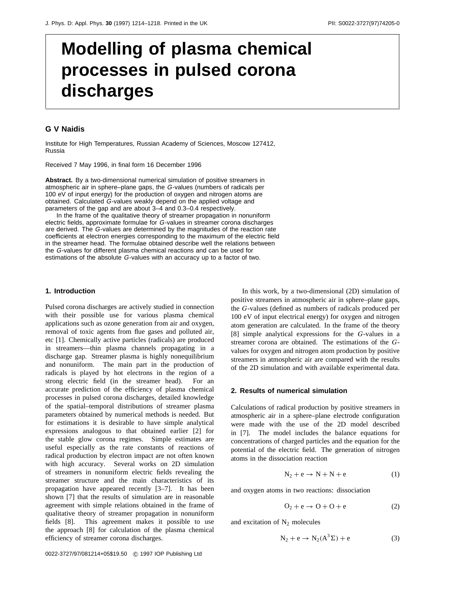# **Modelling of plasma chemical processes in pulsed corona discharges**

# **G V Naidis**

Institute for High Temperatures, Russian Academy of Sciences, Moscow 127412, Russia

Received 7 May 1996, in final form 16 December 1996

**Abstract.** By a two-dimensional numerical simulation of positive streamers in atmospheric air in sphere–plane gaps, the G-values (numbers of radicals per 100 eV of input energy) for the production of oxygen and nitrogen atoms are obtained. Calculated G-values weakly depend on the applied voltage and parameters of the gap and are about 3–4 and 0.3–0.4 respectively.

In the frame of the qualitative theory of streamer propagation in nonuniform electric fields, approximate formulae for G-values in streamer corona discharges are derived. The G-values are determined by the magnitudes of the reaction rate coefficients at electron energies corresponding to the maximum of the electric field in the streamer head. The formulae obtained describe well the relations between the G-values for different plasma chemical reactions and can be used for estimations of the absolute G-values with an accuracy up to a factor of two.

#### **1. Introduction**

Pulsed corona discharges are actively studied in connection with their possible use for various plasma chemical applications such as ozone generation from air and oxygen, removal of toxic agents from flue gases and polluted air, etc [1]. Chemically active particles (radicals) are produced in streamers—thin plasma channels propagating in a discharge gap. Streamer plasma is highly nonequilibrium and nonuniform. The main part in the production of radicals is played by hot electrons in the region of a strong electric field (in the streamer head). For an accurate prediction of the efficiency of plasma chemical processes in pulsed corona discharges, detailed knowledge of the spatial–temporal distributions of streamer plasma parameters obtained by numerical methods is needed. But for estimations it is desirable to have simple analytical expressions analogous to that obtained earlier [2] for the stable glow corona regimes. Simple estimates are useful especially as the rate constants of reactions of radical production by electron impact are not often known with high accuracy. Several works on 2D simulation of streamers in nonuniform electric fields revealing the streamer structure and the main characteristics of its propagation have appeared recently [3–7]. It has been shown [7] that the results of simulation are in reasonable agreement with simple relations obtained in the frame of qualitative theory of streamer propagation in nonuniform fields [8]. This agreement makes it possible to use the approach [8] for calculation of the plasma chemical efficiency of streamer corona discharges.

In this work, by a two-dimensional (2D) simulation of positive streamers in atmospheric air in sphere–plane gaps, the *G*-values (defined as numbers of radicals produced per 100 eV of input electrical energy) for oxygen and nitrogen atom generation are calculated. In the frame of the theory [8] simple analytical expressions for the *G*-values in a streamer corona are obtained. The estimations of the *G*values for oxygen and nitrogen atom production by positive streamers in atmospheric air are compared with the results of the 2D simulation and with available experimental data.

## **2. Results of numerical simulation**

Calculations of radical production by positive streamers in atmospheric air in a sphere–plane electrode configuration were made with the use of the 2D model described in [7]. The model includes the balance equations for concentrations of charged particles and the equation for the potential of the electric field. The generation of nitrogen atoms in the dissociation reaction

$$
N_2 + e \rightarrow N + N + e \tag{1}
$$

and oxygen atoms in two reactions: dissociation

$$
O_2 + e \rightarrow O + O + e \tag{2}
$$

and excitation of  $N_2$  molecules

$$
N_2 + e \rightarrow N_2(A^3\Sigma) + e \tag{3}
$$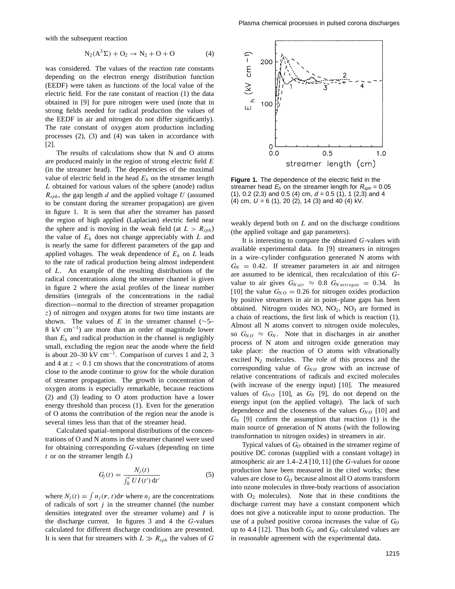with the subsequent reaction

$$
N_2(A^3\Sigma) + O_2 \to N_2 + O + O \tag{4}
$$

was considered. The values of the reaction rate constants depending on the electron energy distribution function (EEDF) were taken as functions of the local value of the electric field. For the rate constant of reaction (1) the data obtained in [9] for pure nitrogen were used (note that in strong fields needed for radical production the values of the EEDF in air and nitrogen do not differ significantly). The rate constant of oxygen atom production including processes (2), (3) and (4) was taken in accordance with [2].

The results of calculations show that N and O atoms are produced mainly in the region of strong electric field *E* (in the streamer head). The dependencies of the maximal value of electric field in the head *Eh* on the streamer length *L* obtained for various values of the sphere (anode) radius *Rsph*, the gap length *d* and the applied voltage *U* (assumed to be constant during the streamer propagation) are given in figure 1. It is seen that after the streamer has passed the region of high applied (Laplacian) electric field near the sphere and is moving in the weak field (at  $L > R<sub>sph</sub>$ ) the value of *Eh* does not change appreciably with *L* and is nearly the same for different parameters of the gap and applied voltages. The weak dependence of *Eh* on *L* leads to the rate of radical production being almost independent of *L*. An example of the resulting distributions of the radical concentrations along the streamer channel is given in figure 2 where the axial profiles of the linear number densities (integrals of the concentrations in the radial direction—normal to the direction of streamer propagation *z*) of nitrogen and oxygen atoms for two time instants are shown. The values of *E* in the streamer channel ( $\sim$ 5– 8 kV cm−1) are more than an order of magnitude lower than  $E_h$  and radical production in the channel is negligibly small, excluding the region near the anode where the field is about 20–30 kV cm<sup>-1</sup>. Comparison of curves 1 and 2, 3 and 4 at  $z < 0.1$  cm shows that the concentrations of atoms close to the anode continue to grow for the whole duration of streamer propagation. The growth in concentration of oxygen atoms is especially remarkable, because reactions (2) and (3) leading to O atom production have a lower energy threshold than process (1). Even for the generation of O atoms the contribution of the region near the anode is several times less than that of the streamer head.

Calculated spatial–temporal distributions of the concentrations of O and N atoms in the streamer channel were used for obtaining corresponding *G*-values (depending on time *t* or on the streamer length *L*)

$$
G_j(t) = \frac{N_j(t)}{\int_0^t U I(t') dt'}
$$
 (5)

where  $N_i(t) = \int n_i(\mathbf{r}, t) d\mathbf{r}$  where  $n_i$  are the concentrations of radicals of sort *j* in the streamer channel (the number densities integrated over the streamer volume) and *I* is the discharge current. In figures 3 and 4 the *G*-values calculated for different discharge conditions are presented. It is seen that for streamers with  $L \gg R_{sph}$  the values of *G* 



**Figure 1.** The dependence of the electric field in the streamer head  $E_h$  on the streamer length for  $R_{sph} = 0.05$ (1), 0.2 (2,3) and 0.5 (4) cm, d = 0*.*5 (1), 1 (2,3) and 4 (4) cm,  $U = 6$  (1), 20 (2), 14 (3) and 40 (4) kV.

weakly depend both on *L* and on the discharge conditions (the applied voltage and gap parameters).

It is interesting to compare the obtained *G*-values with available experimental data. In [9] streamers in nitrogen in a wire–cylinder configuration generated N atoms with  $G_N = 0.42$ . If streamer parameters in air and nitrogen are assumed to be identical, then recalculation of this *G*value to air gives  $G_{N \text{ air}} \approx 0.8 \ G_{N \text{ nitrogen}} = 0.34$ . In [10] the value  $G_{NO} = 0.26$  for nitrogen oxides production by positive streamers in air in point–plane gaps has been obtained. Nitrogen oxides  $NO$ ,  $NO<sub>2</sub>$ ,  $NO<sub>3</sub>$  are formed in a chain of reactions, the first link of which is reaction (1). Almost all N atoms convert to nitrogen oxide molecules, so  $G_{NO} \approx G_N$ . Note that in discharges in air another process of N atom and nitrogen oxide generation may take place: the reaction of O atoms with vibrationally excited  $N_2$  molecules. The role of this process and the corresponding value of  $G_{NO}$  grow with an increase of relative concentrations of radicals and excited molecules (with increase of the energy input) [10]. The measured values of  $G_{NO}$  [10], as  $G_N$  [9], do not depend on the energy input (on the applied voltage). The lack of such dependence and the closeness of the values  $G_{NO}$  [10] and  $G_N$  [9] confirm the assumption that reaction (1) is the main source of generation of N atoms (with the following transformation to nitrogen oxides) in streamers in air.

Typical values of  $G<sub>O</sub>$  obtained in the streamer regime of positive DC coronas (supplied with a constant voltage) in atmospheric air are 1.4–2.4 [10, 11] (the *G*-values for ozone production have been measured in the cited works; these values are close to  $G<sub>O</sub>$  because almost all O atoms transform into ozone molecules in three-body reactions of association with  $O_2$  molecules). Note that in these conditions the discharge current may have a constant component which does not give a noticeable input to ozone production. The use of a pulsed positive corona increases the value of  $G<sub>0</sub>$ up to 4.4 [12]. Thus both  $G_N$  and  $G_O$  calculated values are in reasonable agreement with the experimental data.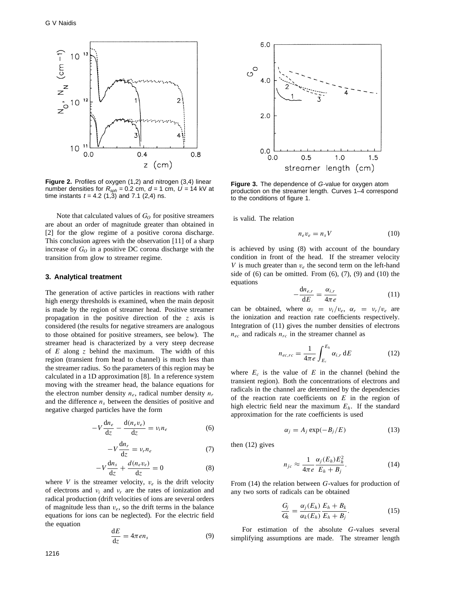

**Figure 2.** Profiles of oxygen (1,2) and nitrogen (3,4) linear number densities for  $R_{sph} = 0.2$  cm,  $d = 1$  cm,  $U = 14$  kV at time instants  $t = 4.2$  (1,3) and 7.1 (2,4) ns.

Note that calculated values of  $G_O$  for positive streamers are about an order of magnitude greater than obtained in [2] for the glow regime of a positive corona discharge. This conclusion agrees with the observation [11] of a sharp increase of  $G<sub>O</sub>$  in a positive DC corona discharge with the transition from glow to streamer regime.

### **3. Analytical treatment**

The generation of active particles in reactions with rather high energy thresholds is examined, when the main deposit is made by the region of streamer head. Positive streamer propagation in the positive direction of the *z* axis is considered (the results for negative streamers are analogous to those obtained for positive streamers, see below). The streamer head is characterized by a very steep decrease of *E* along *z* behind the maximum. The width of this region (transient from head to channel) is much less than the streamer radius. So the parameters of this region may be calculated in a 1D approximation [8]. In a reference system moving with the streamer head, the balance equations for the electron number density  $n_e$ , radical number density  $n_r$ and the difference  $n<sub>s</sub>$  between the densities of positive and negative charged particles have the form

$$
-V\frac{dn_e}{dz} - \frac{d(n_e v_e)}{dz} = v_i n_e \tag{6}
$$

$$
-V\frac{\mathrm{d}n_r}{\mathrm{d}z} = v_r n_e \tag{7}
$$

$$
-V\frac{dn_s}{dz} + \frac{d(n_e v_e)}{dz} = 0
$$
 (8)

where *V* is the streamer velocity,  $v_e$  is the drift velocity of electrons and  $v_i$  and  $v_r$  are the rates of ionization and radical production (drift velocities of ions are several orders of magnitude less than  $v_e$ , so the drift terms in the balance equations for ions can be neglected). For the electric field the equation

$$
\frac{\mathrm{d}E}{\mathrm{d}z} = 4\pi e n_s \tag{9}
$$



**Figure 3.** The dependence of G-value for oxygen atom production on the streamer length. Curves 1–4 correspond to the conditions of figure 1.

is valid. The relation

$$
n_e v_e = n_s V \tag{10}
$$

is achieved by using (8) with account of the boundary condition in front of the head. If the streamer velocity *V* is much greater than  $v_e$  the second term on the left-hand side of  $(6)$  can be omitted. From  $(6)$ ,  $(7)$ ,  $(9)$  and  $(10)$  the equations

$$
-\frac{dn_{e,r}}{dE} = \frac{\alpha_{i,r}}{4\pi e}
$$
 (11)

can be obtained, where  $\alpha_i = v_i/v_e$ ,  $\alpha_r = v_r/v_e$  are the ionization and reaction rate coefficients respectively. Integration of (11) gives the number densities of electrons  $n_{ec}$  and radicals  $n_{rc}$  in the streamer channel as

$$
n_{ec,rc} = \frac{1}{4\pi e} \int_{E_c}^{E_h} \alpha_{i,r} dE
$$
 (12)

where  $E_c$  is the value of  $E$  in the channel (behind the transient region). Both the concentrations of electrons and radicals in the channel are determined by the dependencies of the reaction rate coefficients on *E* in the region of high electric field near the maximum *Eh*. If the standard approximation for the rate coefficients is used

$$
\alpha_j = A_j \exp(-B_j/E) \tag{13}
$$

then (12) gives

$$
n_{jc} \approx \frac{1}{4\pi e} \frac{\alpha_j (E_h) E_h^2}{E_h + B_j}.
$$
 (14)

From (14) the relation between *G*-values for production of any two sorts of radicals can be obtained

$$
\frac{G_j}{G_k} = \frac{\alpha_j(E_h)}{\alpha_k(E_h)} \frac{E_h + B_k}{E_h + B_j}.
$$
\n(15)

For estimation of the absolute *G*-values several simplifying assumptions are made. The streamer length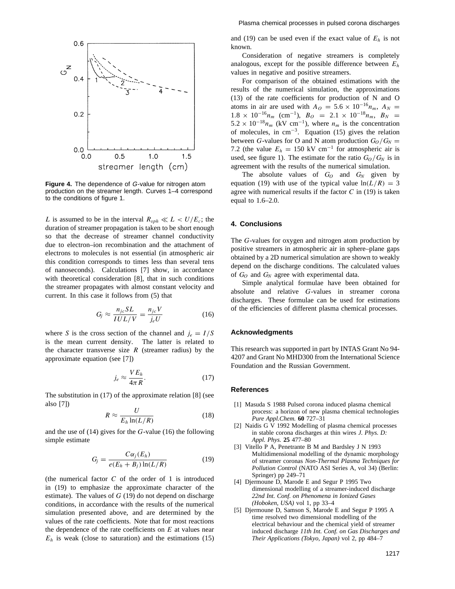

**Figure 4.** The dependence of G-value for nitrogen atom production on the streamer length. Curves 1–4 correspond to the conditions of figure 1.

*L* is assumed to be in the interval  $R_{sph} \ll L < U/E_c$ ; the duration of streamer propagation is taken to be short enough so that the decrease of streamer channel conductivity due to electron–ion recombination and the attachment of electrons to molecules is not essential (in atmospheric air this condition corresponds to times less than several tens of nanoseconds). Calculations [7] show, in accordance with theoretical consideration [8], that in such conditions the streamer propagates with almost constant velocity and current. In this case it follows from (5) that

$$
G_j \approx \frac{n_{jc}SL}{IUL/V} = \frac{n_{jc}V}{j_eU}
$$
 (16)

where *S* is the cross section of the channel and  $j_e = I/S$ is the mean current density. The latter is related to the character transverse size  $R$  (streamer radius) by the approximate equation (see [7])

$$
j_e \approx \frac{VE_h}{4\pi R}.\tag{17}
$$

The substitution in (17) of the approximate relation [8] (see also [7])

$$
R \approx \frac{U}{E_h \ln(L/R)}\tag{18}
$$

and the use of (14) gives for the *G*-value (16) the following simple estimate

$$
G_j = \frac{C\alpha_j(E_h)}{e(E_h + B_j)\ln(L/R)}\tag{19}
$$

(the numerical factor  $C$  of the order of 1 is introduced in (19) to emphasize the approximate character of the estimate). The values of *G* (19) do not depend on discharge conditions, in accordance with the results of the numerical simulation presented above, and are determined by the values of the rate coefficients. Note that for most reactions the dependence of the rate coefficients on *E* at values near  $E_h$  is weak (close to saturation) and the estimations (15) and (19) can be used even if the exact value of  $E_h$  is not known.

Consideration of negative streamers is completely analogous, except for the possible difference between *Eh* values in negative and positive streamers.

For comparison of the obtained estimations with the results of the numerical simulation, the approximations (13) of the rate coefficients for production of N and O atoms in air are used with  $A_O = 5.6 \times 10^{-16} n_m$ ,  $A_N =$  $1.8 \times 10^{-16} n_m$  (cm<sup>-1</sup>),  $B_O = 2.1 \times 10^{-18} n_m$ ,  $B_N =$  $5.2 \times 10^{-18} n_m$  (kV cm<sup>-1</sup>), where  $n_m$  is the concentration of molecules, in cm<sup>-3</sup>. Equation (15) gives the relation between *G*-values for O and N atom production  $G_O/G_N =$ 7.2 (the value  $E_h = 150 \text{ kV cm}^{-1}$  for atmospheric air is used, see figure 1). The estimate for the ratio  $G_O/G_N$  is in agreement with the results of the numerical simulation.

The absolute values of  $G_O$  and  $G_N$  given by equation (19) with use of the typical value  $ln(L/R) = 3$ agree with numerical results if the factor *C* in (19) is taken equal to 1.6–2.0.

### **4. Conclusions**

The *G*-values for oxygen and nitrogen atom production by positive streamers in atmospheric air in sphere–plane gaps obtained by a 2D numerical simulation are shown to weakly depend on the discharge conditions. The calculated values of *GO* and *GN* agree with experimental data.

Simple analytical formulae have been obtained for absolute and relative *G*-values in streamer corona discharges. These formulae can be used for estimations of the efficiencies of different plasma chemical processes.

#### **Acknowledgments**

This research was supported in part by INTAS Grant No 94- 4207 and Grant No MHD300 from the International Science Foundation and the Russian Government.

#### **References**

- [1] Masuda S 1988 Pulsed corona induced plasma chemical process: a horizon of new plasma chemical technologies *Pure Appl.Chem.* **60** 727–31
- [2] Naidis G V 1992 Modelling of plasma chemical processes in stable corona discharges at thin wires *J. Phys. D: Appl. Phys.* **25** 477–80
- [3] Vitello P A, Penetrante B M and Bardsley J N 1993 Multidimensional modelling of the dynamic morphology of streamer coronas *Non-Thermal Plasma Techniques for Pollution Control* (NATO ASI Series A, vol 34) (Berlin: Springer) pp 249–71
- [4] Djermoune D, Marode E and Segur P 1995 Two dimensional modelling of a streamer-induced discharge *22nd Int. Conf. on Phenomena in Ionized Gases (Hoboken, USA)* vol 1, pp 33–4
- [5] Djermoune D, Samson S, Marode E and Segur P 1995 A time resolved two dimensional modelling of the electrical behaviour and the chemical yield of streamer induced discharge *11th Int. Conf. on Gas Discharges and Their Applications (Tokyo, Japan)* vol 2, pp 484–7